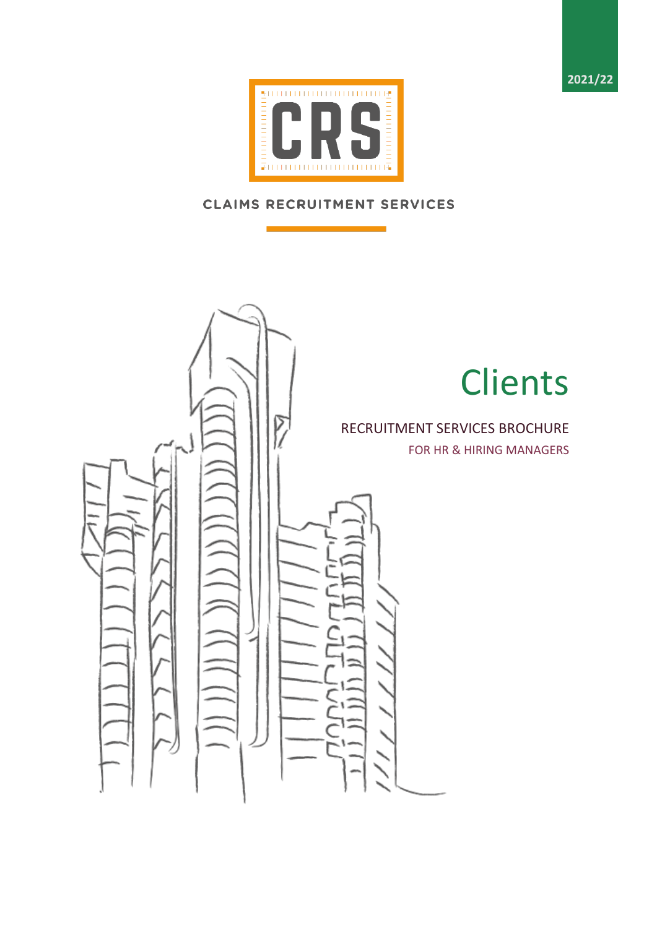**2021/22**



# **CLAIMS RECRUITMENT SERVICES**

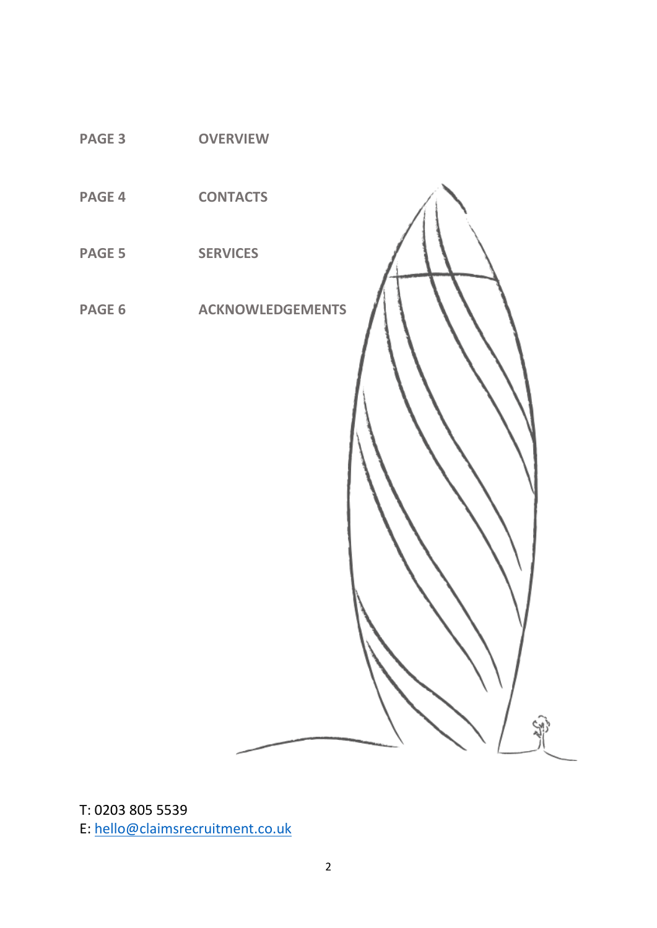

T: 0203 805 5539 E: [hello@claimsrecruitment.co.uk](mailto:hello@claimsrecruitment.co.uk)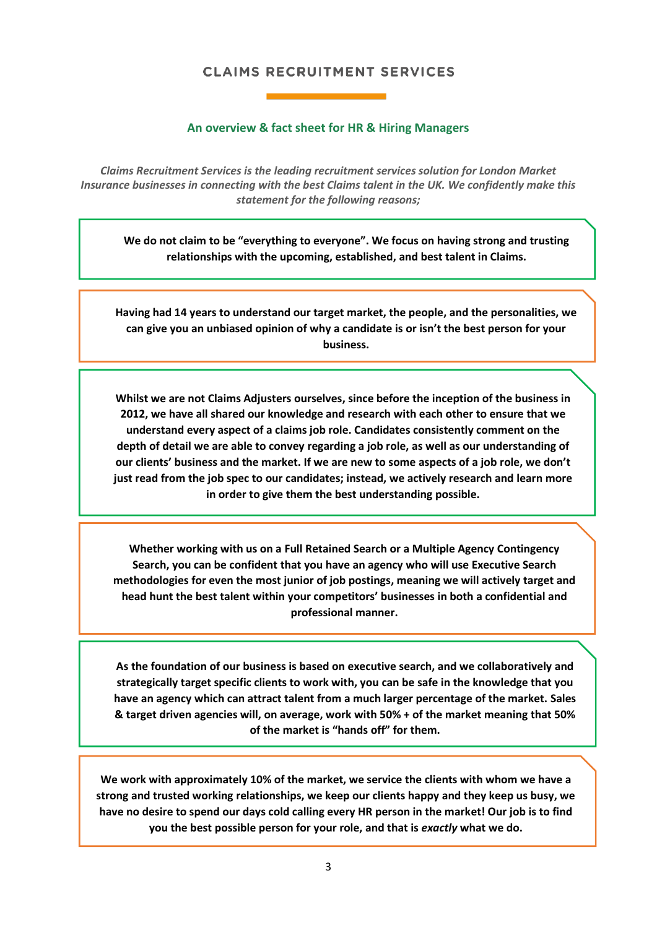# **CLAIMS RECRUITMENT SERVICES**

## **An overview & fact sheet for HR & Hiring Managers**

*Claims Recruitment Services is the leading recruitment services solution for London Market Insurance businesses in connecting with the best Claims talent in the UK. We confidently make this statement for the following reasons;*

**We do not claim to be "everything to everyone". We focus on having strong and trusting relationships with the upcoming, established, and best talent in Claims.**

**Having had 14 years to understand our target market, the people, and the personalities, we can give you an unbiased opinion of why a candidate is or isn't the best person for your business.**

**Whilst we are not Claims Adjusters ourselves, since before the inception of the business in 2012, we have all shared our knowledge and research with each other to ensure that we understand every aspect of a claims job role. Candidates consistently comment on the depth of detail we are able to convey regarding a job role, as well as our understanding of our clients' business and the market. If we are new to some aspects of a job role, we don't just read from the job spec to our candidates; instead, we actively research and learn more in order to give them the best understanding possible.**

**Whether working with us on a Full Retained Search or a Multiple Agency Contingency Search, you can be confident that you have an agency who will use Executive Search methodologies for even the most junior of job postings, meaning we will actively target and head hunt the best talent within your competitors' businesses in both a confidential and professional manner.**

**As the foundation of our business is based on executive search, and we collaboratively and strategically target specific clients to work with, you can be safe in the knowledge that you have an agency which can attract talent from a much larger percentage of the market. Sales & target driven agencies will, on average, work with 50% + of the market meaning that 50% of the market is "hands off" for them.**

**We work with approximately 10% of the market, we service the clients with whom we have a strong and trusted working relationships, we keep our clients happy and they keep us busy, we have no desire to spend our days cold calling every HR person in the market! Our job is to find you the best possible person for your role, and that is** *exactly* **what we do.**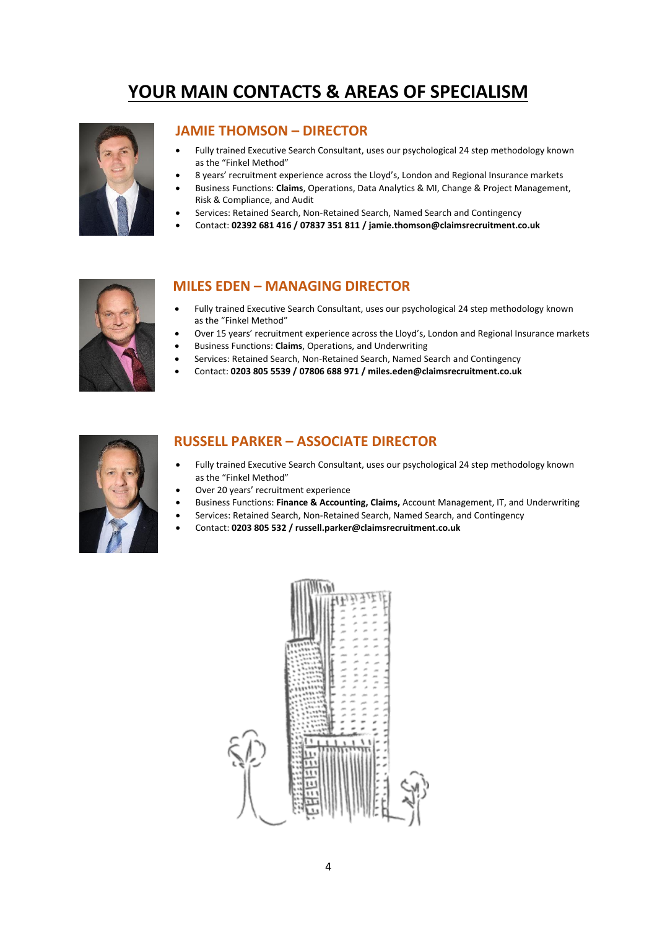# **YOUR MAIN CONTACTS & AREAS OF SPECIALISM**



## **JAMIE THOMSON – DIRECTOR**

- Fully trained Executive Search Consultant, uses our psychological 24 step methodology known as the "Finkel Method"
- 8 years' recruitment experience across the Lloyd's, London and Regional Insurance markets
- Business Functions: **Claims**, Operations, Data Analytics & MI, Change & Project Management, Risk & Compliance, and Audit
- Services: Retained Search, Non-Retained Search, Named Search and Contingency
- Contact: **02392 681 416 / 07837 351 811 / jamie.thomson@claimsrecruitment.co.uk**



# **MILES EDEN – MANAGING DIRECTOR**

- Fully trained Executive Search Consultant, uses our psychological 24 step methodology known as the "Finkel Method"
- Over 15 years' recruitment experience across the Lloyd's, London and Regional Insurance markets
- Business Functions: **Claims**, Operations, and Underwriting
- Services: Retained Search, Non-Retained Search, Named Search and Contingency
- Contact: **0203 805 5539 / 07806 688 971 / miles.eden@claimsrecruitment.co.uk**



## **RUSSELL PARKER – ASSOCIATE DIRECTOR**

- Fully trained Executive Search Consultant, uses our psychological 24 step methodology known as the "Finkel Method"
- Over 20 years' recruitment experience
- Business Functions: **Finance & Accounting, Claims,** Account Management, IT, and Underwriting
- Services: Retained Search, Non-Retained Search, Named Search, and Contingency
- Contact: **0203 805 532 / russell.parker@claimsrecruitment.co.uk**

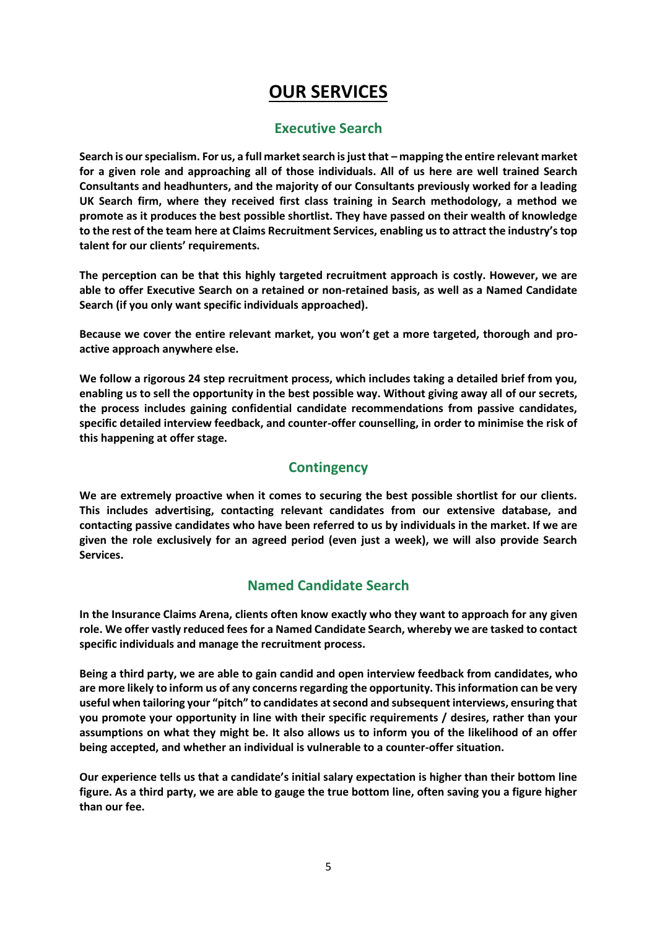# **OUR SERVICES**

# **Executive Search**

**Search is our specialism. For us, a full market search is just that – mapping the entire relevant market for a given role and approaching all of those individuals. All of us here are well trained Search Consultants and headhunters, and the majority of our Consultants previously worked for a leading UK Search firm, where they received first class training in Search methodology, a method we promote as it produces the best possible shortlist. They have passed on their wealth of knowledge to the rest of the team here at Claims Recruitment Services, enabling us to attract the industry's top talent for our clients' requirements.**

**The perception can be that this highly targeted recruitment approach is costly. However, we are able to offer Executive Search on a retained or non-retained basis, as well as a Named Candidate Search (if you only want specific individuals approached).**

**Because we cover the entire relevant market, you won't get a more targeted, thorough and proactive approach anywhere else.**

**We follow a rigorous 24 step recruitment process, which includes taking a detailed brief from you, enabling us to sell the opportunity in the best possible way. Without giving away all of our secrets, the process includes gaining confidential candidate recommendations from passive candidates, specific detailed interview feedback, and counter-offer counselling, in order to minimise the risk of this happening at offer stage.**

# **Contingency**

**We are extremely proactive when it comes to securing the best possible shortlist for our clients. This includes advertising, contacting relevant candidates from our extensive database, and contacting passive candidates who have been referred to us by individuals in the market. If we are given the role exclusively for an agreed period (even just a week), we will also provide Search Services.**

# **Named Candidate Search**

**In the Insurance Claims Arena, clients often know exactly who they want to approach for any given role. We offer vastly reduced fees for a Named Candidate Search, whereby we are tasked to contact specific individuals and manage the recruitment process.**

**Being a third party, we are able to gain candid and open interview feedback from candidates, who are more likely to inform us of any concerns regarding the opportunity. This information can be very useful when tailoring your "pitch" to candidates at second and subsequent interviews, ensuring that you promote your opportunity in line with their specific requirements / desires, rather than your assumptions on what they might be. It also allows us to inform you of the likelihood of an offer being accepted, and whether an individual is vulnerable to a counter-offer situation.**

**Our experience tells us that a candidate's initial salary expectation is higher than their bottom line figure. As a third party, we are able to gauge the true bottom line, often saving you a figure higher than our fee.**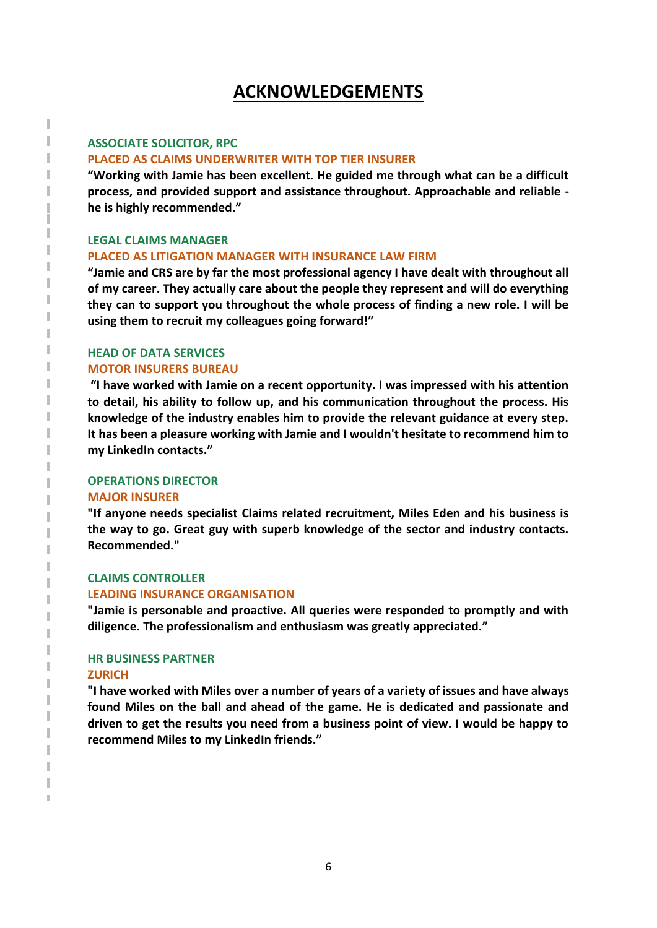# **ACKNOWLEDGEMENTS**

## **ASSOCIATE SOLICITOR, RPC**

### **PLACED AS CLAIMS UNDERWRITER WITH TOP TIER INSURER**

**"Working with Jamie has been excellent. He guided me through what can be a difficult process, and provided support and assistance throughout. Approachable and reliable he is highly recommended."**

### **LEGAL CLAIMS MANAGER**

#### **PLACED AS LITIGATION MANAGER WITH INSURANCE LAW FIRM**

**"Jamie and CRS are by far the most professional agency I have dealt with throughout all of my career. They actually care about the people they represent and will do everything they can to support you throughout the whole process of finding a new role. I will be using them to recruit my colleagues going forward!"**

## **HEAD OF DATA SERVICES MOTOR INSURERS BUREAU**

**"I have worked with Jamie on a recent opportunity. I was impressed with his attention to detail, his ability to follow up, and his communication throughout the process. His knowledge of the industry enables him to provide the relevant guidance at every step. It has been a pleasure working with Jamie and I wouldn't hesitate to recommend him to my LinkedIn contacts."**

#### **OPERATIONS DIRECTOR**

#### **MAJOR INSURER**

**"If anyone needs specialist Claims related recruitment, Miles Eden and his business is the way to go. Great guy with superb knowledge of the sector and industry contacts. Recommended."**

## **CLAIMS CONTROLLER**

#### **LEADING INSURANCE ORGANISATION**

**"Jamie is personable and proactive. All queries were responded to promptly and with diligence. The professionalism and enthusiasm was greatly appreciated."**

#### **HR BUSINESS PARTNER**

### **ZURICH**

**"I have worked with Miles over a number of years of a variety of issues and have always found Miles on the ball and ahead of the game. He is dedicated and passionate and driven to get the results you need from a business point of view. I would be happy to recommend Miles to my LinkedIn friends."**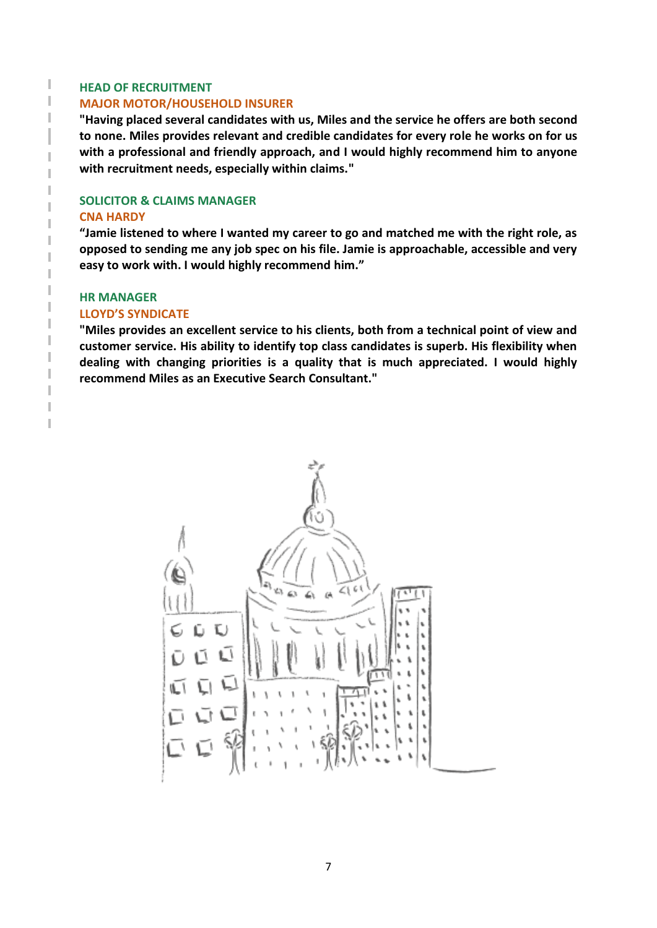### **HEAD OF RECRUITMENT**

T T I

I I I I Ï

Ï I I I I T I

T I

### **MAJOR MOTOR/HOUSEHOLD INSURER**

**"Having placed several candidates with us, Miles and the service he offers are both second to none. Miles provides relevant and credible candidates for every role he works on for us with a professional and friendly approach, and I would highly recommend him to anyone with recruitment needs, especially within claims."**

# **SOLICITOR & CLAIMS MANAGER CNA HARDY**

**"Jamie listened to where I wanted my career to go and matched me with the right role, as opposed to sending me any job spec on his file. Jamie is approachable, accessible and very easy to work with. I would highly recommend him."**

## **HR MANAGER**

## **LLOYD'S SYNDICATE**

**"Miles provides an excellent service to his clients, both from a technical point of view and customer service. His ability to identify top class candidates is superb. His flexibility when dealing with changing priorities is a quality that is much appreciated. I would highly recommend Miles as an Executive Search Consultant."**